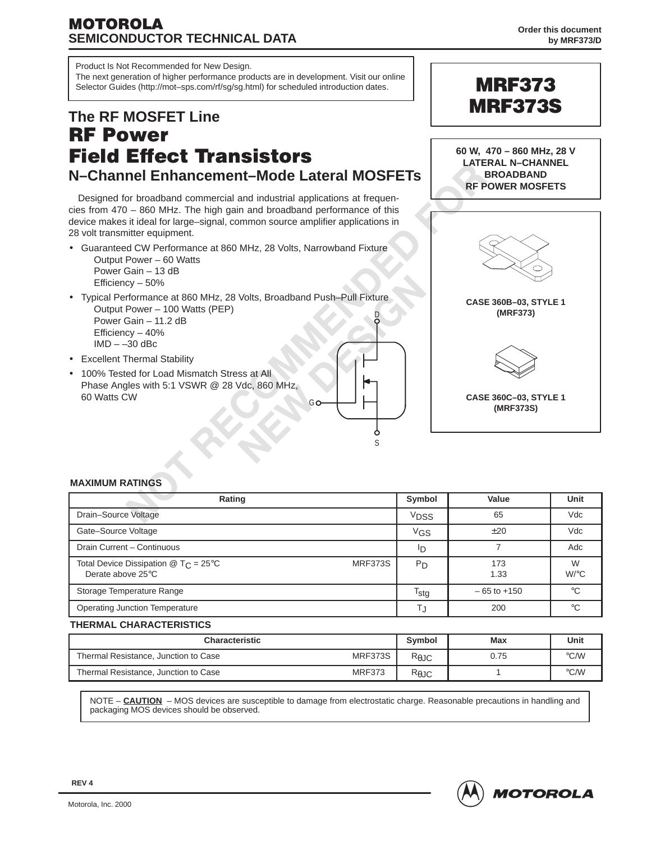## **MOTOROLA SEMICONDUCTOR TECHNICAL DATA**

Product Is Not Recommended for New Design.

The next generation of higher performance products are in development. Visit our online Selector Guides (http://mot–sps.com/rf/sg/sg.html) for scheduled introduction dates. **The RF MOSFET Line RF Power Field Effect Transistors N–Channel Enhancement–Mode Lateral MOSFETs** Designed for broadband commercial and industrial applications at frequencies from 470 – 860 MHz. The high gain and broadband performance of this device makes it ideal for large–signal, common source amplifier applications in 28 volt transmitter equipment. • Guaranteed CW Performance at 860 MHz, 28 Volts, Narrowband Fixture Output Power – 60 Watts Power Gain – 13 dB Efficiency – 50% • Typical Performance at 860 MHz, 28 Volts, Broadband Push–Pull Fixture Output Power – 100 Watts (PEP) Power Gain – 11.2 dB Efficiency – 40% **60 W, 470 – 860 MHz, 28 V LATERAL N–CHANNEL BROADBAND RF POWER MOSFETS CASE 360B–03, STYLE 1 (MRF373) MRF373 MRF373S** D

Go



**CASE 360C–03, STYLE 1 (MRF373S)**

## • Excellent Thermal Stability

 $IMD - -30$  dBc

• 100% Tested for Load Mismatch Stress at All Phase Angles with 5:1 VSWR @ 28 Vdc, 860 MHz, 60 Watts CW

#### **MAXIMUM RATINGS**

| Rating                                                                                                        | Symbol           | Value           | Unit         |
|---------------------------------------------------------------------------------------------------------------|------------------|-----------------|--------------|
| Drain-Source Voltage                                                                                          | V <sub>DSS</sub> | 65              | Vdc          |
| Gate-Source Voltage                                                                                           | V <sub>GS</sub>  | ±20             | Vdc          |
| Drain Current - Continuous                                                                                    | סי               |                 | Adc          |
| Total Device Dissipation $\textcircled{2}$ T <sub>C</sub> = 25 <sup>°</sup> C<br>MRF373S<br>Derate above 25°C | $P_D$            | 173<br>1.33     | W<br>$W$ /°C |
| Storage Temperature Range                                                                                     | $T_{\text{stg}}$ | $-65$ to $+150$ | °C           |
| <b>Operating Junction Temperature</b>                                                                         | IJ               | 200             | $^{\circ}$ C |

S

Ò

#### **THERMAL CHARACTERISTICS**

| <b>Characteristic</b>                |               |                | Max  | Unit          |
|--------------------------------------|---------------|----------------|------|---------------|
| Thermal Resistance, Junction to Case | MRF373S       | $R_{\theta$ JC | 0.75 | $\degree$ C/W |
| Thermal Resistance, Junction to Case | <b>MRF373</b> | $R_{\theta$ JC |      | °C/W          |

NOTE – **CAUTION** – MOS devices are susceptible to damage from electrostatic charge. Reasonable precautions in handling and packaging MOS devices should be observed.

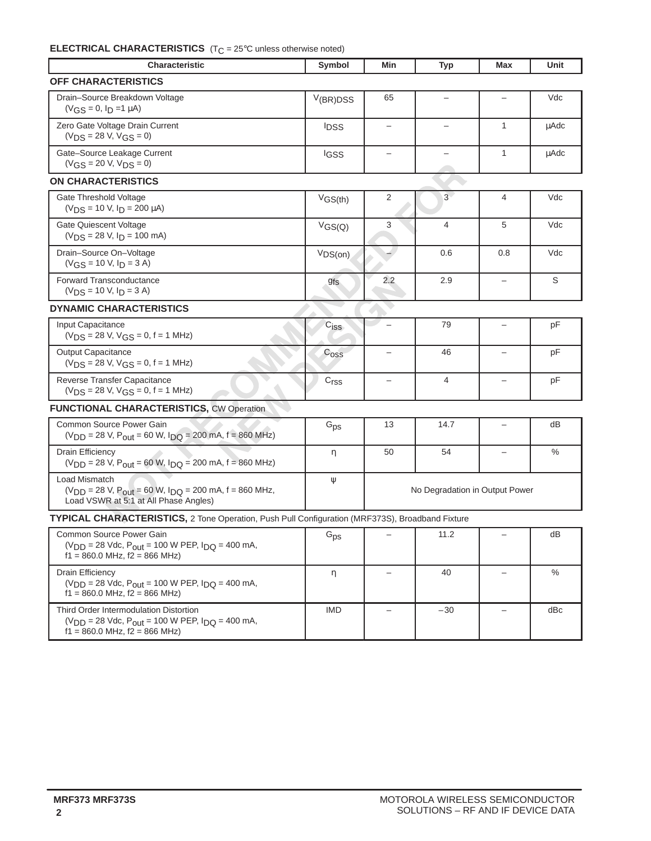## **ELECTRICAL CHARACTERISTICS** (T<sub>C</sub> = 25°C unless otherwise noted)

| <b>Characteristic</b>                                                                                                                        | Symbol                      | Min                            | <b>Typ</b>               | Max                      | Unit          |
|----------------------------------------------------------------------------------------------------------------------------------------------|-----------------------------|--------------------------------|--------------------------|--------------------------|---------------|
| OFF CHARACTERISTICS                                                                                                                          |                             |                                |                          |                          |               |
| Drain-Source Breakdown Voltage<br>$(VGS = 0, I_D = 1 \mu A)$                                                                                 | $V$ (BR)DSS                 | 65                             | $\overline{\phantom{0}}$ |                          | Vdc           |
| Zero Gate Voltage Drain Current<br>$(VDS = 28 V, VGS = 0)$                                                                                   | <b>IDSS</b>                 | $\qquad \qquad -$              | $\qquad \qquad -$        | $\mathbf{1}$             | <b>uAdc</b>   |
| Gate-Source Leakage Current<br>$(VGS = 20 V, VDS = 0)$                                                                                       | IGSS                        | $\overline{\phantom{0}}$       |                          | 1                        | <b>µAdc</b>   |
| <b>ON CHARACTERISTICS</b>                                                                                                                    |                             |                                |                          |                          |               |
| Gate Threshold Voltage<br>$(V_{DS} = 10 V, I_D = 200 \mu A)$                                                                                 | VGS(th)                     | 2                              | $3 -$                    | 4                        | Vdc           |
| <b>Gate Quiescent Voltage</b><br>$(V_{DS} = 28 V, I_D = 100 mA)$                                                                             | VGS(Q)                      | 3                              | $\overline{4}$           | 5                        | Vdc           |
| Drain-Source On-Voltage<br>$(VGS = 10 V, I_D = 3 A)$                                                                                         | VDS(on)                     |                                | 0.6                      | 0.8                      | Vdc           |
| Forward Transconductance<br>$(V_{DS} = 10 V, I_D = 3 A)$                                                                                     | <b>gfs</b>                  | 2.2                            | 2.9                      | $\overline{\phantom{0}}$ | S             |
| <b>DYNAMIC CHARACTERISTICS</b>                                                                                                               |                             |                                |                          |                          |               |
| Input Capacitance<br>$(V_{DS} = 28 V, V_{GS} = 0, f = 1 MHz)$                                                                                | $C_{\text{ISS}}$            |                                | 79                       | $\overline{\phantom{0}}$ | pF            |
| <b>Output Capacitance</b><br>$(VDS = 28 V, VGS = 0, f = 1 MHz)$                                                                              | C <sub>oss</sub>            | $\overline{\phantom{0}}$       | 46                       | $\overline{\phantom{0}}$ | pF            |
| Reverse Transfer Capacitance<br>$(V_{DS} = 28 V, V_{GS} = 0, f = 1 MHz)$                                                                     | $\mathrm{C}_{\mathrm{rss}}$ | $\qquad \qquad -$              | $\overline{4}$           | $\qquad \qquad -$        | pF            |
| <b>FUNCTIONAL CHARACTERISTICS, CW Operation</b>                                                                                              |                             |                                |                          |                          |               |
| Common Source Power Gain<br>$(V_{DD} = 28 V, P_{out} = 60 W, I_{DQ} = 200 mA, f = 860 MHz)$                                                  | $G_{DS}$                    | 13                             | 14.7                     | $\qquad \qquad -$        | dB            |
| <b>Drain Efficiency</b><br>$(V_{DD} = 28 V, P_{out} = 60 W, I_{DQ} = 200 mA, f = 860 MHz)$                                                   | η                           | 50                             | 54                       | $\overline{\phantom{0}}$ | $\frac{0}{0}$ |
| Load Mismatch<br>$(V_{DD} = 28 V, P_{out} = 60 W, I_{DO} = 200 mA, f = 860 MHz,$<br>Load VSWR at 5:1 at All Phase Angles)                    | Ψ                           | No Degradation in Output Power |                          |                          |               |
| TYPICAL CHARACTERISTICS, 2 Tone Operation, Push Pull Configuration (MRF373S), Broadband Fixture                                              |                             |                                |                          |                          |               |
| Common Source Power Gain<br>$(V_{DD} = 28$ Vdc, $P_{out} = 100$ W PEP, $I_{DQ} = 400$ mA,<br>$f1 = 860.0$ MHz, $f2 = 866$ MHz)               | $G_{\text{PS}}$             |                                | 11.2                     |                          | dB            |
| Drain Efficiency<br>$(V_{DD} = 28$ Vdc, $P_{out} = 100$ W PEP, $I_{DQ} = 400$ mA,<br>$f1 = 860.0$ MHz, $f2 = 866$ MHz)                       | η                           | -                              | 40                       | -                        | $\%$          |
| Third Order Intermodulation Distortion<br>$(V_{DD} = 28$ Vdc, $P_{out} = 100$ W PEP, $I_{DQ} = 400$ mA,<br>$f1 = 860.0$ MHz, $f2 = 866$ MHz) | <b>IMD</b>                  | -                              | $-30$                    | -                        | dBc           |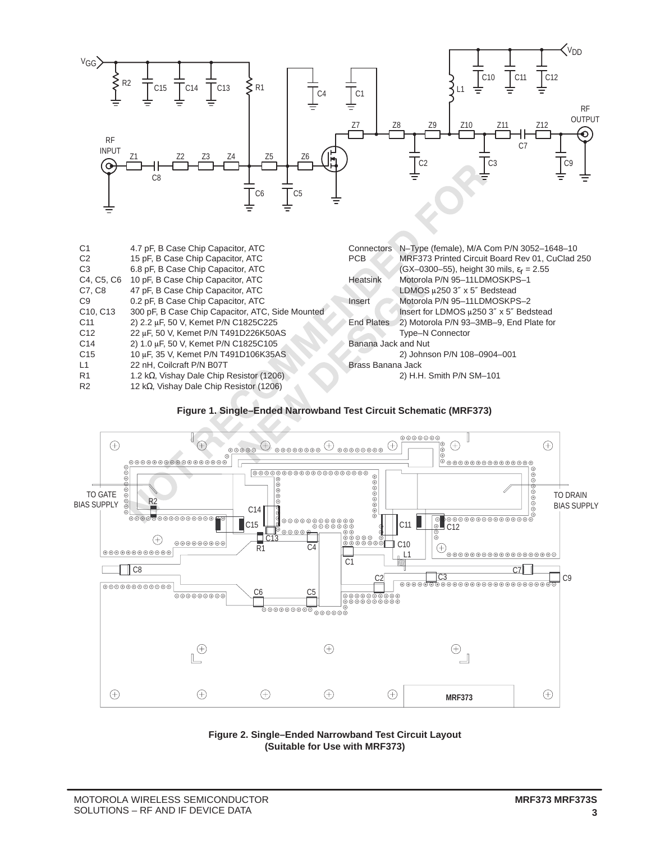

| 4.7 pF, B Case Chip Capacitor, ATC                | Connectors          | N-Type (female), M/A Com P/N 3052-1648-10               |
|---------------------------------------------------|---------------------|---------------------------------------------------------|
| 15 pF, B Case Chip Capacitor, ATC                 | <b>PCB</b>          | MRF373 Printed Circuit Board Rev 01, CuClad 250         |
| 6.8 pF, B Case Chip Capacitor, ATC                |                     | $(GX-0300-55)$ , height 30 mils, $\varepsilon_r = 2.55$ |
| 10 pF, B Case Chip Capacitor, ATC                 | Heatsink            | Motorola P/N 95-11LDMOSKPS-1                            |
| 47 pF, B Case Chip Capacitor, ATC                 |                     | LDMOS µ250 3" x 5" Bedstead                             |
| 0.2 pF, B Case Chip Capacitor, ATC                | Insert              | Motorola P/N 95-11LDMOSKPS-2                            |
| 300 pF, B Case Chip Capacitor, ATC, Side Mounted  |                     | Insert for LDMOS u250 3" x 5" Bedstead                  |
| 2) 2.2 µF, 50 V, Kemet P/N C1825C225              | End Plates          | 2) Motorola P/N 93-3MB-9, End Plate for                 |
| 22 µF, 50 V, Kemet P/N T491D226K50AS              |                     | <b>Type-N Connector</b>                                 |
| 2) 1.0 µF, 50 V, Kemet P/N C1825C105              | Banana Jack and Nut |                                                         |
| 10 uF, 35 V, Kemet P/N T491D106K35AS              |                     | 2) Johnson P/N 108-0904-001                             |
| 22 nH, Coilcraft P/N B07T                         | Brass Banana Jack   |                                                         |
| 1.2 k $\Omega$ , Vishay Dale Chip Resistor (1206) |                     | 2) H.H. Smith P/N SM-101                                |
| 12 k $\Omega$ , Vishay Dale Chip Resistor (1206)  |                     |                                                         |
|                                                   | C4, C5, C6          |                                                         |





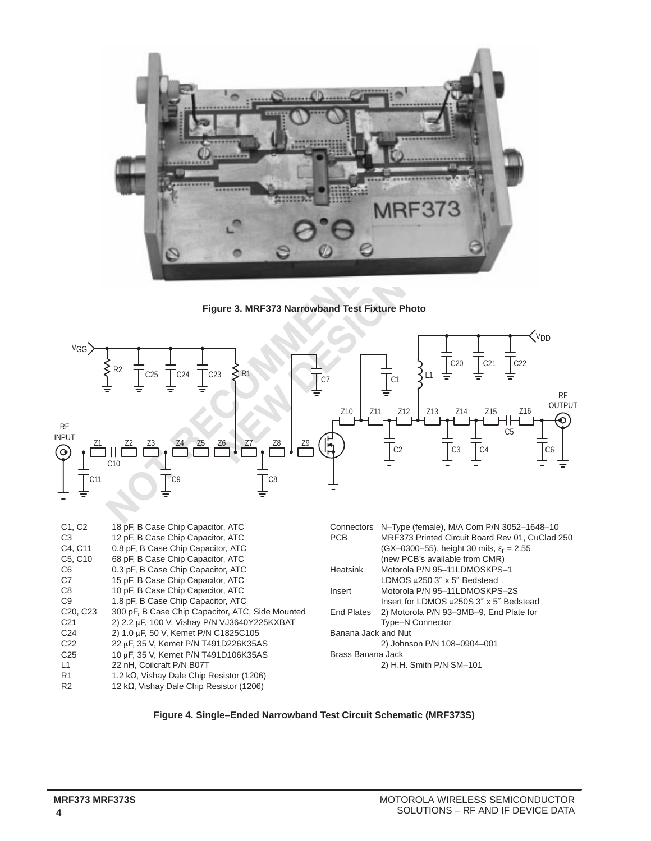

**Figure 3. MRF373 Narrowband Test Fixture Photo**



| C <sub>1</sub> , C <sub>2</sub>   | 18 pF, B Case Chip Capacitor, ATC                 |                     | Connectors N-Type (female), M/A Com P/N 3052-1648-10    |
|-----------------------------------|---------------------------------------------------|---------------------|---------------------------------------------------------|
| C <sub>3</sub>                    | 12 pF, B Case Chip Capacitor, ATC                 | <b>PCB</b>          | MRF373 Printed Circuit Board Rev 01, CuClad 250         |
| C4, C11                           | 0.8 pF, B Case Chip Capacitor, ATC                |                     | $(GX-0300-55)$ , height 30 mils, $\varepsilon_r = 2.55$ |
| C <sub>5</sub> , C <sub>10</sub>  | 68 pF, B Case Chip Capacitor, ATC                 |                     | (new PCB's available from CMR)                          |
| C6                                | 0.3 pF, B Case Chip Capacitor, ATC                | Heatsink            | Motorola P/N 95-11LDMOSKPS-1                            |
| C7                                | 15 pF, B Case Chip Capacitor, ATC                 |                     | LDMOS µ250 3" x 5" Bedstead                             |
| C <sub>8</sub>                    | 10 pF, B Case Chip Capacitor, ATC                 | Insert              | Motorola P/N 95-11LDMOSKPS-2S                           |
| C9                                | 1.8 pF, B Case Chip Capacitor, ATC                |                     | Insert for LDMOS u250S 3" x 5" Bedstead                 |
| C <sub>20</sub> , C <sub>23</sub> | 300 pF, B Case Chip Capacitor, ATC, Side Mounted  | End Plates          | 2) Motorola P/N 93-3MB-9, End Plate for                 |
| C <sub>21</sub>                   | 2) 2.2 uF, 100 V, Vishay P/N VJ3640Y225KXBAT      |                     | <b>Type-N Connector</b>                                 |
| C <sub>24</sub>                   | 2) 1.0 µF, 50 V, Kemet P/N C1825C105              | Banana Jack and Nut |                                                         |
| C <sub>22</sub>                   | 22 µF, 35 V, Kemet P/N T491D226K35AS              |                     | 2) Johnson P/N 108-0904-001                             |
| C <sub>25</sub>                   | 10 µF, 35 V, Kemet P/N T491D106K35AS              | Brass Banana Jack   |                                                         |
| L1                                | 22 nH, Coilcraft P/N B07T                         |                     | 2) H.H. Smith P/N SM-101                                |
| R <sub>1</sub>                    | 1.2 k $\Omega$ , Vishay Dale Chip Resistor (1206) |                     |                                                         |
| R <sub>2</sub>                    | 12 k $\Omega$ , Vishay Dale Chip Resistor (1206)  |                     |                                                         |

**Figure 4. Single–Ended Narrowband Test Circuit Schematic (MRF373S)**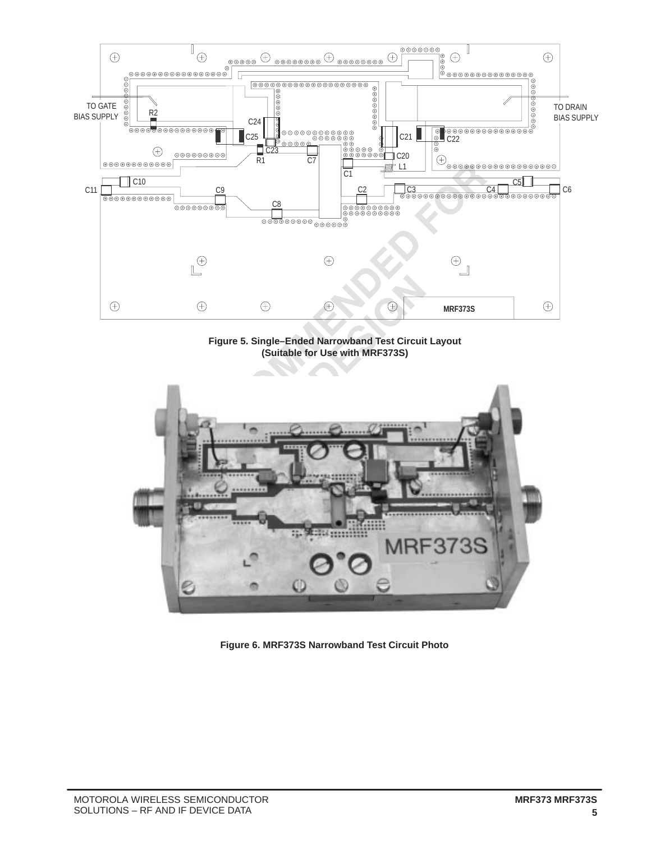

**Figure 5. Single–Ended Narrowband Test Circuit Layout (Suitable for Use with MRF373S)**



**Figure 6. MRF373S Narrowband Test Circuit Photo**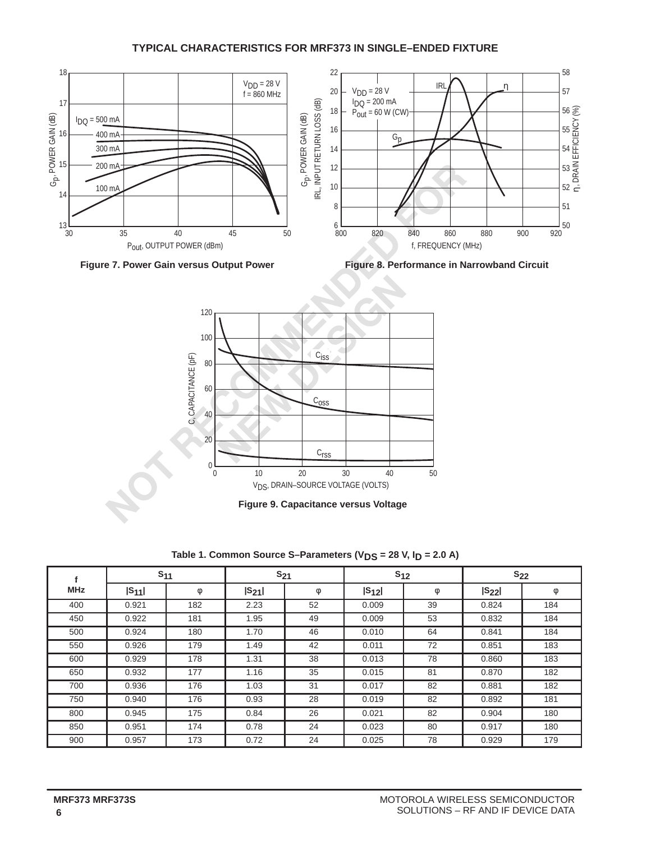### **TYPICAL CHARACTERISTICS FOR MRF373 IN SINGLE–ENDED FIXTURE**









**Figure 9. Capacitance versus Voltage**

Table 1. Common Source S-Parameters (V<sub>DS</sub> = 28 V, I<sub>D</sub> = 2.0 A)

|            | $S_{11}$   |     | $S_{21}$   |    |            | $S_{12}$ | $S_{22}$   |     |
|------------|------------|-----|------------|----|------------|----------|------------|-----|
| <b>MHz</b> | $ S_{11} $ | φ   | $ S_{21} $ | φ  | $ S_{12} $ | $\phi$   | $ S_{22} $ | φ   |
| 400        | 0.921      | 182 | 2.23       | 52 | 0.009      | 39       | 0.824      | 184 |
| 450        | 0.922      | 181 | 1.95       | 49 | 0.009      | 53       | 0.832      | 184 |
| 500        | 0.924      | 180 | 1.70       | 46 | 0.010      | 64       | 0.841      | 184 |
| 550        | 0.926      | 179 | 1.49       | 42 | 0.011      | 72       | 0.851      | 183 |
| 600        | 0.929      | 178 | 1.31       | 38 | 0.013      | 78       | 0.860      | 183 |
| 650        | 0.932      | 177 | 1.16       | 35 | 0.015      | 81       | 0.870      | 182 |
| 700        | 0.936      | 176 | 1.03       | 31 | 0.017      | 82       | 0.881      | 182 |
| 750        | 0.940      | 176 | 0.93       | 28 | 0.019      | 82       | 0.892      | 181 |
| 800        | 0.945      | 175 | 0.84       | 26 | 0.021      | 82       | 0.904      | 180 |
| 850        | 0.951      | 174 | 0.78       | 24 | 0.023      | 80       | 0.917      | 180 |
| 900        | 0.957      | 173 | 0.72       | 24 | 0.025      | 78       | 0.929      | 179 |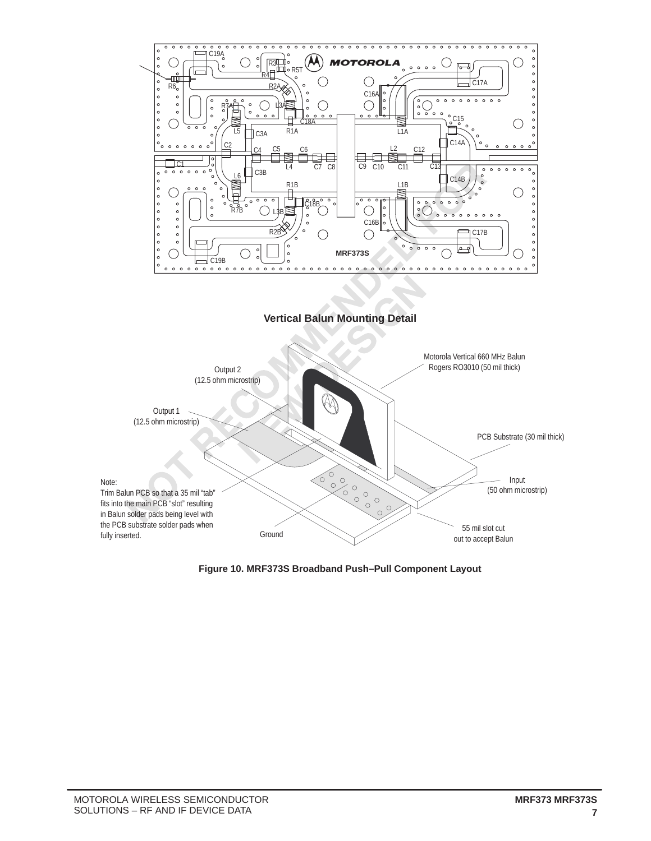

**Vertical Balun Mounting Detail**



**Figure 10. MRF373S Broadband Push–Pull Component Layout**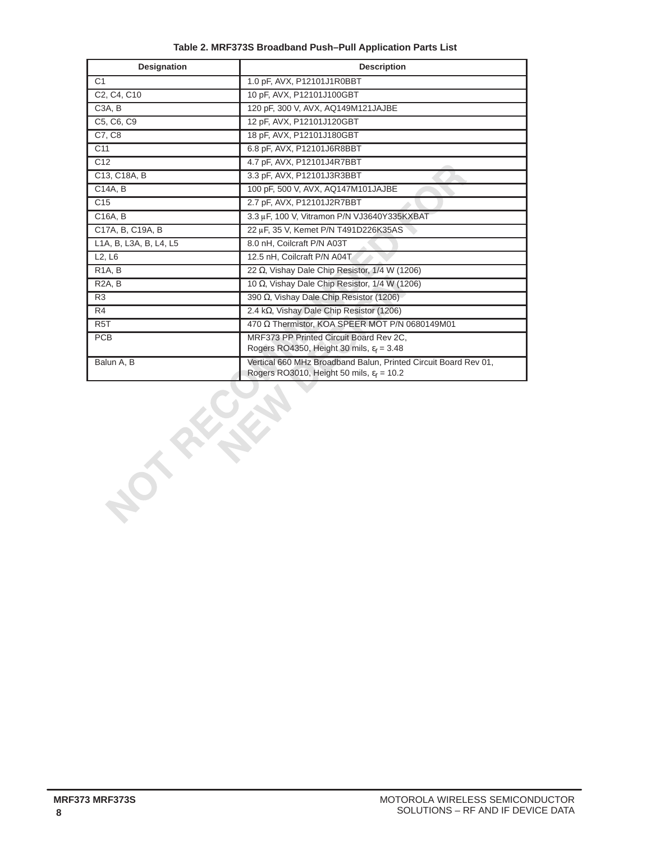| <b>Designation</b>              | <b>Description</b>                                                                                                       |
|---------------------------------|--------------------------------------------------------------------------------------------------------------------------|
| C <sub>1</sub>                  | 1.0 pF, AVX, P12101J1R0BBT                                                                                               |
| C2, C4, C10                     | 10 pF, AVX, P12101J100GBT                                                                                                |
| C <sub>3</sub> A, B             | 120 pF, 300 V, AVX, AQ149M121JAJBE                                                                                       |
| C5, C6, C9                      | 12 pF, AVX, P12101J120GBT                                                                                                |
| C7, C8                          | 18 pF, AVX, P12101J180GBT                                                                                                |
| C <sub>11</sub>                 | 6.8 pF, AVX, P12101J6R8BBT                                                                                               |
| C <sub>12</sub>                 | 4.7 pF, AVX, P12101J4R7BBT                                                                                               |
| C13, C18A, B                    | 3.3 pF, AVX, P12101J3R3BBT                                                                                               |
| C14A, B                         | 100 pF, 500 V, AVX, AQ147M101JAJBE                                                                                       |
| C <sub>15</sub>                 | 2.7 pF, AVX, P12101J2R7BBT                                                                                               |
| C16A, B                         | 3.3 µF, 100 V, Vitramon P/N VJ3640Y335KXBAT                                                                              |
| C17A, B, C19A, B                | 22 µF, 35 V, Kemet P/N T491D226K35AS                                                                                     |
| L1A, B, L3A, B, L4, L5          | 8.0 nH, Coilcraft P/N A03T                                                                                               |
| L <sub>2</sub> , L <sub>6</sub> | 12.5 nH. Coilcraft P/N A04T                                                                                              |
| R <sub>1</sub> A, B             | 22 Ω, Vishay Dale Chip Resistor, 1/4 W (1206)                                                                            |
| R <sub>2</sub> A, B             | 10 $\Omega$ , Vishay Dale Chip Resistor, 1/4 W (1206)                                                                    |
| R <sub>3</sub>                  | 390 $\Omega$ , Vishay Dale Chip Resistor (1206)                                                                          |
| R4                              | 2.4 kΩ, Vishay Dale Chip Resistor (1206)                                                                                 |
| R <sub>5</sub> T                | 470 Ω Thermistor, KOA SPEER MOT P/N 0680149M01                                                                           |
| <b>PCB</b>                      | MRF373 PP Printed Circuit Board Rev 2C,<br>Rogers RO4350, Height 30 mils, $\varepsilon_r = 3.48$                         |
| Balun A, B                      | Vertical 660 MHz Broadband Balun, Printed Circuit Board Rev 01,<br>Rogers RO3010, Height 50 mils, $\varepsilon_r = 10.2$ |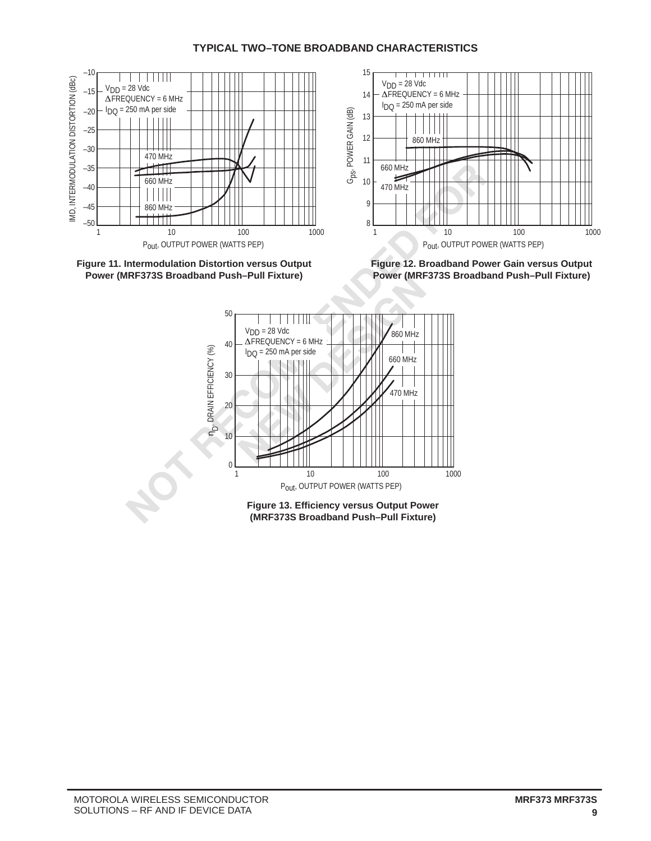## **TYPICAL TWO–TONE BROADBAND CHARACTERISTICS**







**Figure 12. Broadband Power Gain versus Output Power (MRF373S Broadband Push–Pull Fixture)**

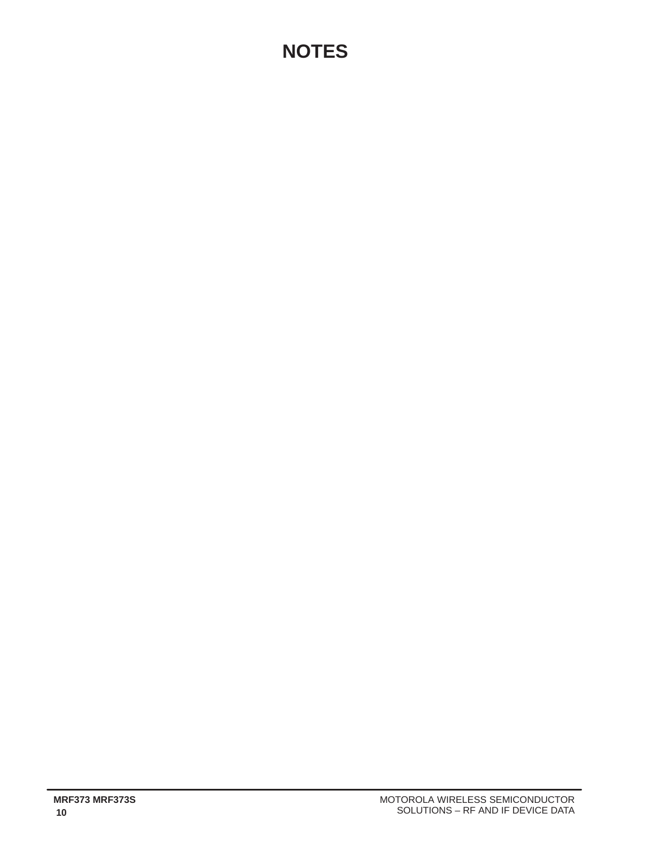# **NOTES**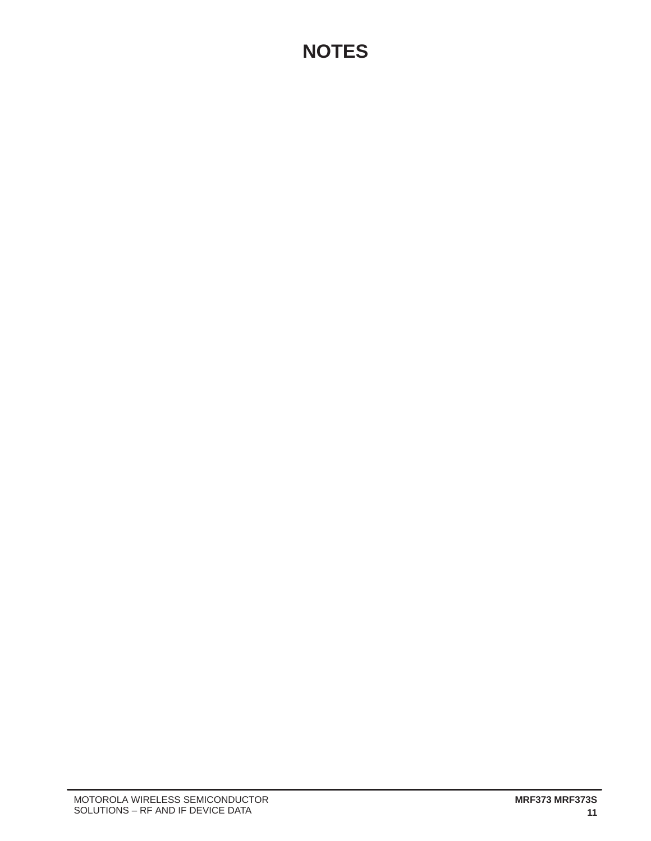# **NOTES**